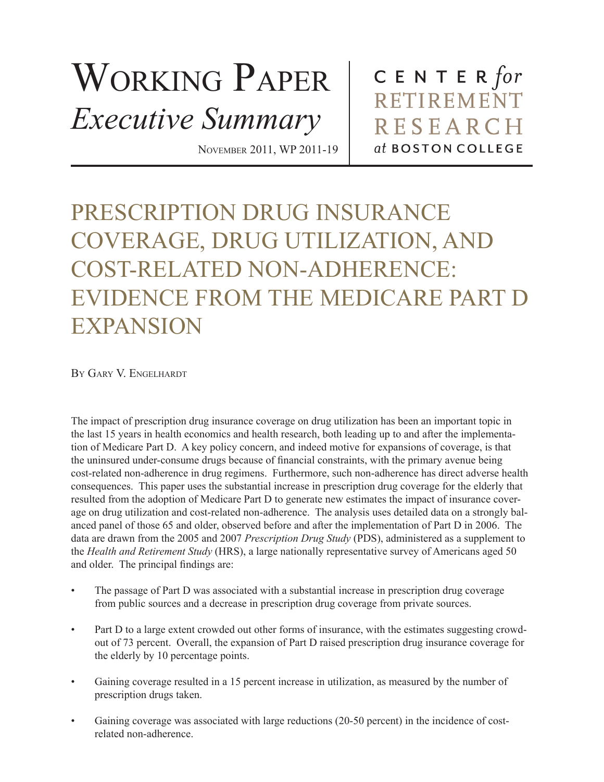## WORKING PAPER *Executive Summary*

CENTER  $for$ RETIREMENT **RESEARCH** at BOSTON COLLEGE

## PRESCRIPTION DRUG INSURANCE COVERAGE, DRUG UTILIZATION, AND COST-RELATED NON-ADHERENCE: EVIDENCE FROM THE MEDICARE PART D EXPANSION

November 2011, WP 2011-19

By Gary V. Engelhardt

The impact of prescription drug insurance coverage on drug utilization has been an important topic in the last 15 years in health economics and health research, both leading up to and after the implementation of Medicare Part D. A key policy concern, and indeed motive for expansions of coverage, is that the uninsured under-consume drugs because of financial constraints, with the primary avenue being cost-related non-adherence in drug regimens. Furthermore, such non-adherence has direct adverse health consequences. This paper uses the substantial increase in prescription drug coverage for the elderly that resulted from the adoption of Medicare Part D to generate new estimates the impact of insurance coverage on drug utilization and cost-related non-adherence. The analysis uses detailed data on a strongly balanced panel of those 65 and older, observed before and after the implementation of Part D in 2006. The data are drawn from the 2005 and 2007 *Prescription Drug Study* (PDS), administered as a supplement to the *Health and Retirement Study* (HRS), a large nationally representative survey of Americans aged 50 and older. The principal findings are:

- The passage of Part D was associated with a substantial increase in prescription drug coverage from public sources and a decrease in prescription drug coverage from private sources.
- Part D to a large extent crowded out other forms of insurance, with the estimates suggesting crowdout of 73 percent. Overall, the expansion of Part D raised prescription drug insurance coverage for the elderly by 10 percentage points.
- Gaining coverage resulted in a 15 percent increase in utilization, as measured by the number of prescription drugs taken.
- Gaining coverage was associated with large reductions (20-50 percent) in the incidence of costrelated non-adherence.